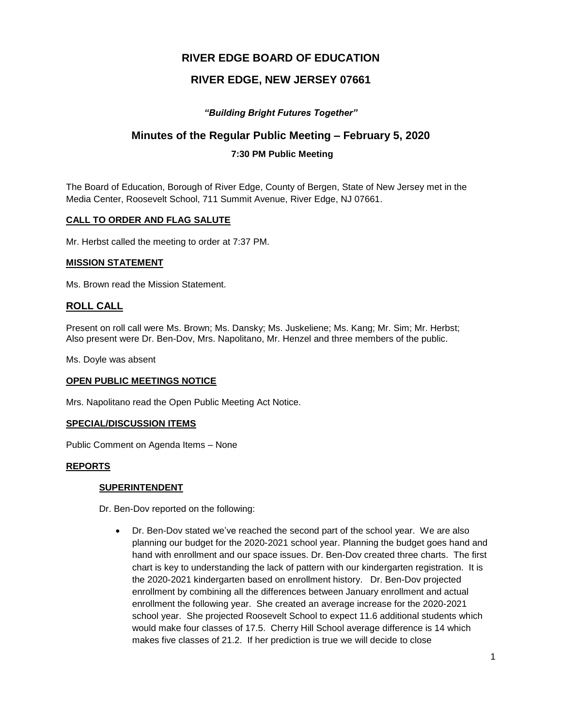# **RIVER EDGE BOARD OF EDUCATION**

# **RIVER EDGE, NEW JERSEY 07661**

## *"Building Bright Futures Together"*

## **Minutes of the Regular Public Meeting – February 5, 2020**

## **7:30 PM Public Meeting**

The Board of Education, Borough of River Edge, County of Bergen, State of New Jersey met in the Media Center, Roosevelt School, 711 Summit Avenue, River Edge, NJ 07661.

#### **CALL TO ORDER AND FLAG SALUTE**

Mr. Herbst called the meeting to order at 7:37 PM.

#### **MISSION STATEMENT**

Ms. Brown read the Mission Statement.

## **ROLL CALL**

Present on roll call were Ms. Brown; Ms. Dansky; Ms. Juskeliene; Ms. Kang; Mr. Sim; Mr. Herbst; Also present were Dr. Ben-Dov, Mrs. Napolitano, Mr. Henzel and three members of the public.

Ms. Doyle was absent

## **OPEN PUBLIC MEETINGS NOTICE**

Mrs. Napolitano read the Open Public Meeting Act Notice.

#### **SPECIAL/DISCUSSION ITEMS**

Public Comment on Agenda Items – None

#### **REPORTS**

#### **SUPERINTENDENT**

Dr. Ben-Dov reported on the following:

 Dr. Ben-Dov stated we've reached the second part of the school year. We are also planning our budget for the 2020-2021 school year. Planning the budget goes hand and hand with enrollment and our space issues. Dr. Ben-Dov created three charts. The first chart is key to understanding the lack of pattern with our kindergarten registration. It is the 2020-2021 kindergarten based on enrollment history. Dr. Ben-Dov projected enrollment by combining all the differences between January enrollment and actual enrollment the following year. She created an average increase for the 2020-2021 school year. She projected Roosevelt School to expect 11.6 additional students which would make four classes of 17.5. Cherry Hill School average difference is 14 which makes five classes of 21.2. If her prediction is true we will decide to close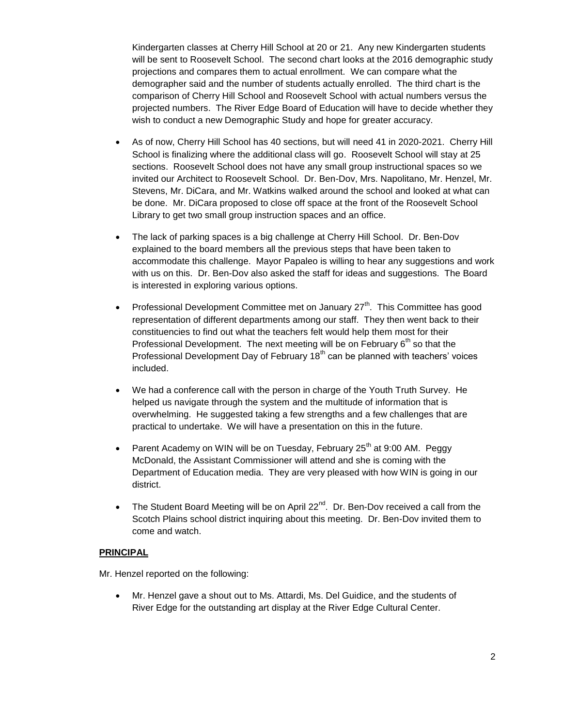Kindergarten classes at Cherry Hill School at 20 or 21. Any new Kindergarten students will be sent to Roosevelt School. The second chart looks at the 2016 demographic study projections and compares them to actual enrollment. We can compare what the demographer said and the number of students actually enrolled. The third chart is the comparison of Cherry Hill School and Roosevelt School with actual numbers versus the projected numbers. The River Edge Board of Education will have to decide whether they wish to conduct a new Demographic Study and hope for greater accuracy.

- As of now, Cherry Hill School has 40 sections, but will need 41 in 2020-2021. Cherry Hill School is finalizing where the additional class will go. Roosevelt School will stay at 25 sections. Roosevelt School does not have any small group instructional spaces so we invited our Architect to Roosevelt School. Dr. Ben-Dov, Mrs. Napolitano, Mr. Henzel, Mr. Stevens, Mr. DiCara, and Mr. Watkins walked around the school and looked at what can be done. Mr. DiCara proposed to close off space at the front of the Roosevelt School Library to get two small group instruction spaces and an office.
- The lack of parking spaces is a big challenge at Cherry Hill School. Dr. Ben-Dov explained to the board members all the previous steps that have been taken to accommodate this challenge. Mayor Papaleo is willing to hear any suggestions and work with us on this. Dr. Ben-Dov also asked the staff for ideas and suggestions. The Board is interested in exploring various options.
- Professional Development Committee met on January  $27<sup>th</sup>$ . This Committee has good representation of different departments among our staff. They then went back to their constituencies to find out what the teachers felt would help them most for their Professional Development. The next meeting will be on February  $6<sup>th</sup>$  so that the Professional Development Day of February 18<sup>th</sup> can be planned with teachers' voices included.
- We had a conference call with the person in charge of the Youth Truth Survey. He helped us navigate through the system and the multitude of information that is overwhelming. He suggested taking a few strengths and a few challenges that are practical to undertake. We will have a presentation on this in the future.
- Parent Academy on WIN will be on Tuesday, February  $25<sup>th</sup>$  at 9:00 AM. Peggy McDonald, the Assistant Commissioner will attend and she is coming with the Department of Education media. They are very pleased with how WIN is going in our district.
- The Student Board Meeting will be on April  $22^{nd}$ . Dr. Ben-Dov received a call from the Scotch Plains school district inquiring about this meeting. Dr. Ben-Dov invited them to come and watch.

## **PRINCIPAL**

Mr. Henzel reported on the following:

 Mr. Henzel gave a shout out to Ms. Attardi, Ms. Del Guidice, and the students of River Edge for the outstanding art display at the River Edge Cultural Center.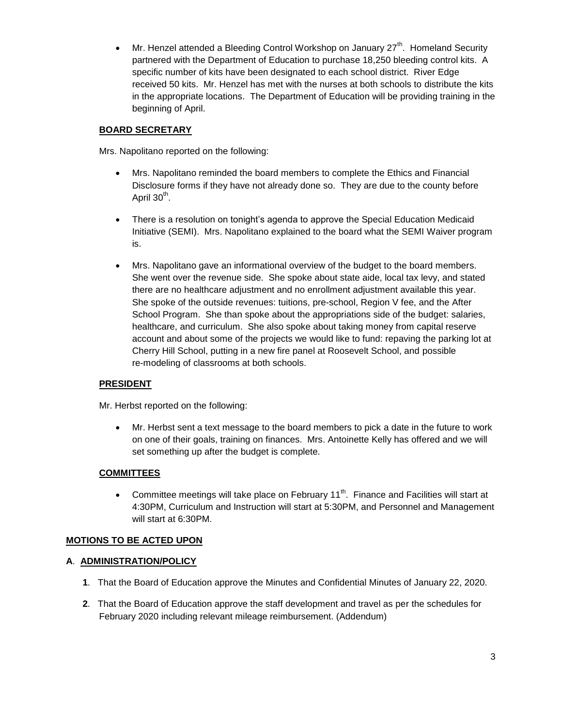• Mr. Henzel attended a Bleeding Control Workshop on January  $27<sup>th</sup>$ . Homeland Security partnered with the Department of Education to purchase 18,250 bleeding control kits. A specific number of kits have been designated to each school district. River Edge received 50 kits. Mr. Henzel has met with the nurses at both schools to distribute the kits in the appropriate locations. The Department of Education will be providing training in the beginning of April.

## **BOARD SECRETARY**

Mrs. Napolitano reported on the following:

- Mrs. Napolitano reminded the board members to complete the Ethics and Financial Disclosure forms if they have not already done so. They are due to the county before April 30<sup>th</sup>.
- There is a resolution on tonight's agenda to approve the Special Education Medicaid Initiative (SEMI). Mrs. Napolitano explained to the board what the SEMI Waiver program is.
- Mrs. Napolitano gave an informational overview of the budget to the board members. She went over the revenue side. She spoke about state aide, local tax levy, and stated there are no healthcare adjustment and no enrollment adjustment available this year. She spoke of the outside revenues: tuitions, pre-school, Region V fee, and the After School Program. She than spoke about the appropriations side of the budget: salaries, healthcare, and curriculum. She also spoke about taking money from capital reserve account and about some of the projects we would like to fund: repaving the parking lot at Cherry Hill School, putting in a new fire panel at Roosevelt School, and possible re-modeling of classrooms at both schools.

## **PRESIDENT**

Mr. Herbst reported on the following:

 Mr. Herbst sent a text message to the board members to pick a date in the future to work on one of their goals, training on finances. Mrs. Antoinette Kelly has offered and we will set something up after the budget is complete.

## **COMMITTEES**

• Committee meetings will take place on February 11<sup>th</sup>. Finance and Facilities will start at 4:30PM, Curriculum and Instruction will start at 5:30PM, and Personnel and Management will start at 6:30PM.

## **MOTIONS TO BE ACTED UPON**

## **A**. **ADMINISTRATION/POLICY**

- **1**. That the Board of Education approve the Minutes and Confidential Minutes of January 22, 2020.
- **2**. That the Board of Education approve the staff development and travel as per the schedules for February 2020 including relevant mileage reimbursement. (Addendum)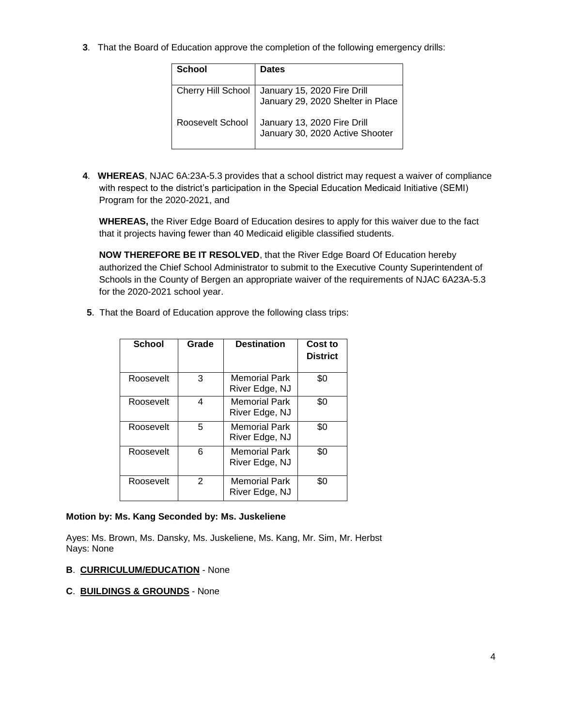**3**. That the Board of Education approve the completion of the following emergency drills:

| School                    | <b>Dates</b>                                                     |
|---------------------------|------------------------------------------------------------------|
| <b>Cherry Hill School</b> | January 15, 2020 Fire Drill<br>January 29, 2020 Shelter in Place |
| Roosevelt School          | January 13, 2020 Fire Drill<br>January 30, 2020 Active Shooter   |

**4**. **WHEREAS**, NJAC 6A:23A-5.3 provides that a school district may request a waiver of compliance with respect to the district's participation in the Special Education Medicaid Initiative (SEMI) Program for the 2020-2021, and

**WHEREAS,** the River Edge Board of Education desires to apply for this waiver due to the fact that it projects having fewer than 40 Medicaid eligible classified students.

**NOW THEREFORE BE IT RESOLVED**, that the River Edge Board Of Education hereby authorized the Chief School Administrator to submit to the Executive County Superintendent of Schools in the County of Bergen an appropriate waiver of the requirements of NJAC 6A23A-5.3 for the 2020-2021 school year.

**5**. That the Board of Education approve the following class trips:

| School    | Grade | <b>Destination</b>                     | Cost to<br><b>District</b> |
|-----------|-------|----------------------------------------|----------------------------|
| Roosevelt | 3     | <b>Memorial Park</b><br>River Edge, NJ | \$0                        |
| Roosevelt | 4     | <b>Memorial Park</b><br>River Edge, NJ | \$0                        |
| Roosevelt | 5     | <b>Memorial Park</b><br>River Edge, NJ | \$0                        |
| Roosevelt | 6     | <b>Memorial Park</b><br>River Edge, NJ | \$0                        |
| Roosevelt | 2     | <b>Memorial Park</b><br>River Edge, NJ | \$0                        |

#### **Motion by: Ms. Kang Seconded by: Ms. Juskeliene**

Ayes: Ms. Brown, Ms. Dansky, Ms. Juskeliene, Ms. Kang, Mr. Sim, Mr. Herbst Nays: None

#### **B**. **CURRICULUM/EDUCATION** - None

#### **C**. **BUILDINGS & GROUNDS** - None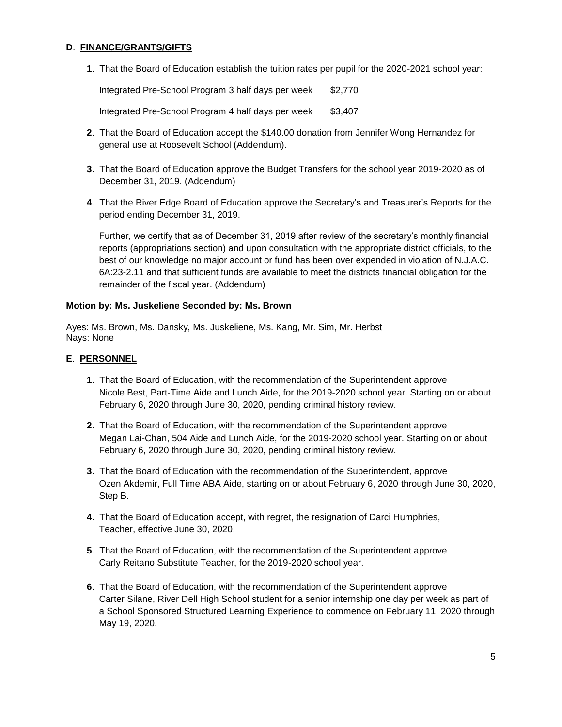## **D**. **FINANCE/GRANTS/GIFTS**

**1**. That the Board of Education establish the tuition rates per pupil for the 2020-2021 school year:

Integrated Pre-School Program 3 half days per week \$2,770 Integrated Pre-School Program 4 half days per week \$3,407

- **2**. That the Board of Education accept the \$140.00 donation from Jennifer Wong Hernandez for general use at Roosevelt School (Addendum).
- **3**. That the Board of Education approve the Budget Transfers for the school year 2019-2020 as of December 31, 2019. (Addendum)
- **4**. That the River Edge Board of Education approve the Secretary's and Treasurer's Reports for the period ending December 31, 2019.

Further, we certify that as of December 31, 2019 after review of the secretary's monthly financial reports (appropriations section) and upon consultation with the appropriate district officials, to the best of our knowledge no major account or fund has been over expended in violation of N.J.A.C. 6A:23-2.11 and that sufficient funds are available to meet the districts financial obligation for the remainder of the fiscal year. (Addendum)

#### **Motion by: Ms. Juskeliene Seconded by: Ms. Brown**

Ayes: Ms. Brown, Ms. Dansky, Ms. Juskeliene, Ms. Kang, Mr. Sim, Mr. Herbst Nays: None

#### **E**. **PERSONNEL**

- **1**. That the Board of Education, with the recommendation of the Superintendent approve Nicole Best, Part-Time Aide and Lunch Aide, for the 2019-2020 school year. Starting on or about February 6, 2020 through June 30, 2020, pending criminal history review.
- **2**. That the Board of Education, with the recommendation of the Superintendent approve Megan Lai-Chan, 504 Aide and Lunch Aide, for the 2019-2020 school year. Starting on or about February 6, 2020 through June 30, 2020, pending criminal history review.
- **3**. That the Board of Education with the recommendation of the Superintendent, approve Ozen Akdemir, Full Time ABA Aide, starting on or about February 6, 2020 through June 30, 2020, Step B.
- **4**. That the Board of Education accept, with regret, the resignation of Darci Humphries, Teacher, effective June 30, 2020.
- **5**. That the Board of Education, with the recommendation of the Superintendent approve Carly Reitano Substitute Teacher, for the 2019-2020 school year.
- **6**. That the Board of Education, with the recommendation of the Superintendent approve Carter Silane, River Dell High School student for a senior internship one day per week as part of a School Sponsored Structured Learning Experience to commence on February 11, 2020 through May 19, 2020.